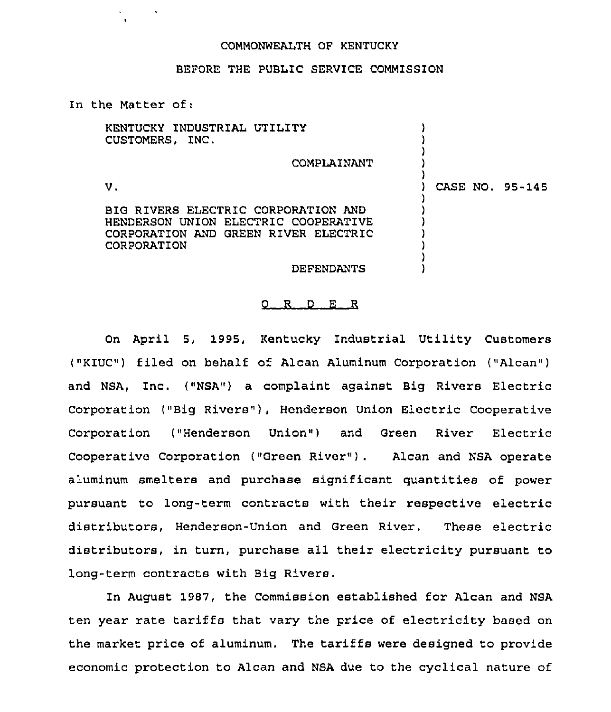## COMMONWEALTH OF KENTUCKY

## BEFORE THE PUBLIC SERVICE COMMISSION

In the Matter of:

| KENTUCKY INDUSTRIAL UTILITY<br>CUSTOMERS, INC.                                                                                     |             |  |                 |
|------------------------------------------------------------------------------------------------------------------------------------|-------------|--|-----------------|
|                                                                                                                                    | COMPLAINANT |  |                 |
| v.                                                                                                                                 |             |  | CASE NO. 95-145 |
| BIG RIVERS ELECTRIC CORPORATION AND<br>HENDERSON UNION ELECTRIC COOPERATIVE<br>CORPORATION AND GREEN RIVER ELECTRIC<br>CORPORATION |             |  |                 |
|                                                                                                                                    | DEFENDANTS  |  |                 |

## O R D E R

On April 5, 1995, Kentucky Industrial Utility Customers ("KIUC") filed on behalf of Alcan Aluminum Corporation ("Alcan") and NSA, Inc. ("NSA") a complaint against Big Rivers Electric Corporation ("Big Rivers"), Henderson Union Electric Cooperative Corporation ("Henderson Union") and Green River Electric Cooperative Corporation ("Green River"}. Alcan and NSA operate aluminum smelters and purchase significant quantities of power pursuant to long-term contracts with their respective electric distributors, Henderson-Union and Green River. These electric distributors, in turn, purchase all their electricity pursuant to long-term contracts with Big Rivers.

In August 1987, the Commission established for Alcan and NSA ten year rate tariffs that vary the price of electricity based on the market price of aluminum. The tariffs were designed to provide economic protection to Alcan and NSA due to the cyclical nature of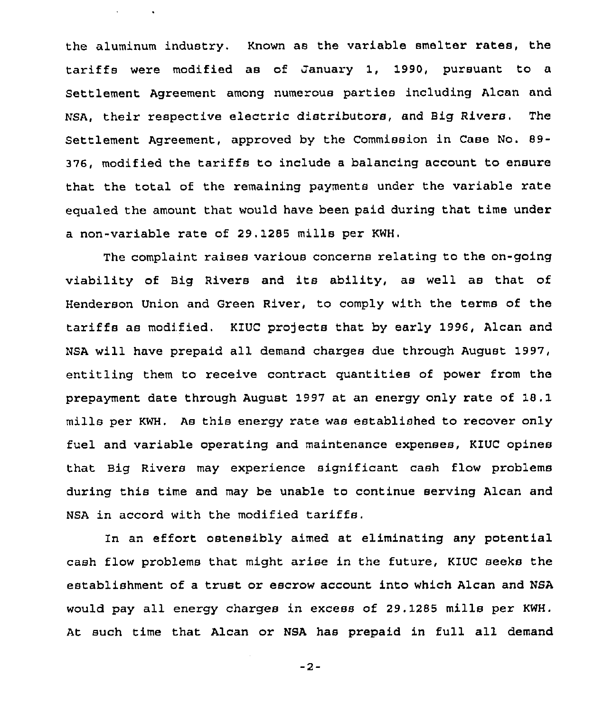the aluminum industry. Known as the variable smelter rates, the tariffs were modified as of January 1, 1990, pursuant to a Settlement Agreement among numerous parties including Alcan and NSA, their respective electric distributors, and Big Rivers. The Settlement Agreement, approved by the Commission in Case No. 89- 376, modified the tariffs to include a balancing account to ensure that the total of the remaining payments under the variable rate equaled the amount that would have been paid during that time under a non-variable rate of 29.1285 mills per KWH.

The complaint raises various concerns relating to the on-going viability of Big Rivers and its ability, as well as that of Henderson Union and Green River, to comply with the terms of the tariffs as modified. KIUC projects that by early 1996, Alcan and NSA will have prepaid all demand charges due through August 1997, entitling them to receive contract quantities of power from the prepayment date through August 1997 at an energy only rate of 18.1 mills per KWH. As this energy rate was established to recover only fuel and variable operating and maintenance expenses, KIUC opines that Big Rivers may experience significant cash flow problems during this time and may be unable to continue serving Alcan and NSA in accord with the modified tariffs,

In an effort ostensibly aimed at eliminating any potential cash flow problems that might arise in the future, KIUC seeks the establishment of a trust or escrow account into which Alcan and NSA would pay all energy charges in excess of 29.1285 mills per KWH. At such time that Alcan or NSA has prepaid in full all demand

 $-2-$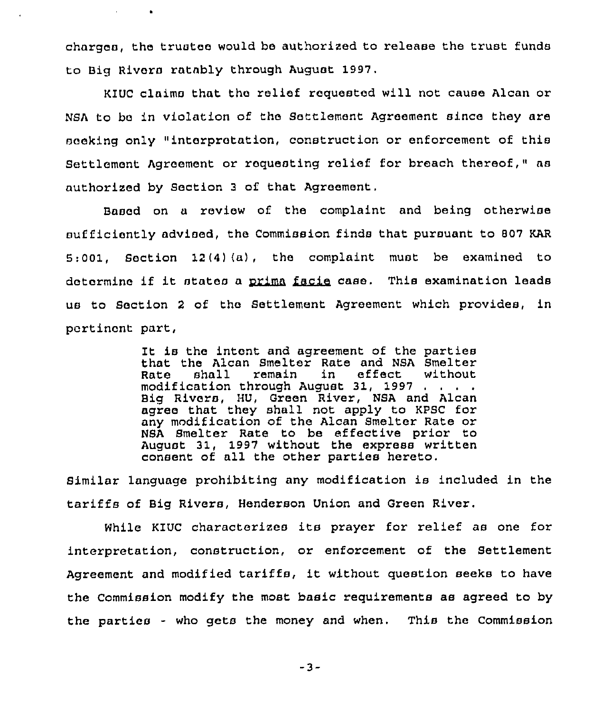charges, the trustee would be authorized to release the trust funds to Big Rivers ratably through August 1997.

KIUC claims that the relief requested will not cause Alcan or NSA to be in violation of the Settlement Agreement since they are seeking only "interpretation, construction or enforcement of this Settlement Agreement or requesting relief for breach thereof," as authorized by Section <sup>3</sup> of that Agreement,

Based on a review of the complaint and being otherwise sufficiently advised, the Commission finds that pursuant to 807 KAR 5:001, Soction 12(4) $(a)$ , the complaint must be examined to determine if it states a prima facie case. This examination leads us to Section <sup>2</sup> of the Settlement Agreement which provides, in pertinent part,

> It is the intent and agreement of the parties that the Alcan Smelter Rate and NSA Smelter<br>Rate shall remain in effect without Rate shall remain in effect without modification through August 31, 1997 Big Rivers, HU, Green River, NSA and Alcan agree that they shall not apply to KPSC for any modification of the Alcan Smelter Rate or NSA Smelter Rate to be effective prior to August 31, 1997 without the express written consent of all the other parties hereto.

Similar language prohibiting any modification is included in the tariffs of Big Rivers, Henderson Union and Oreen River.

While KIUC characterizes its prayer for relief as one for interpretation, construction, or enforcement of the Settlement Agreement and modified tariffs, it without question seeks to have the Commission modify the most basic requirements as agreed to by the parties - who gets the money and when. This the Commission

 $-3-$